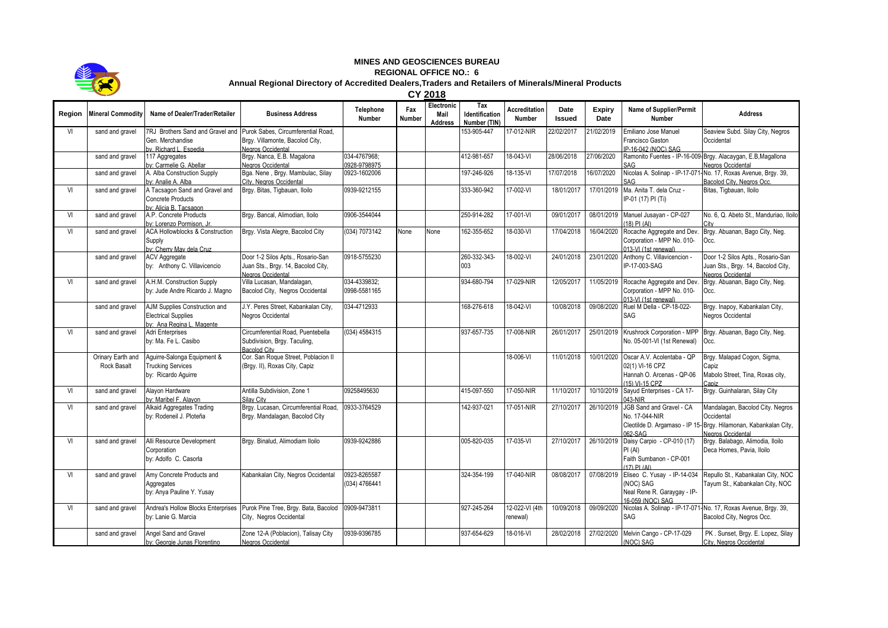

## **MINES AND GEOSCIENCES BUREAU**

**REGIONAL OFFICE NO.: 6**

## **Annual Regional Directory of Accredited Dealers,Traders and Retailers of Minerals/Mineral Products**

**CY 2018**

| Region | <b>Mineral Commodity</b>                | Name of Dealer/Trader/Retailer                                                           | <b>Business Address</b>                                                                            | Telephone<br><b>Number</b>    | Fax<br><b>Number</b> | Electronic<br>Mail<br><b>Address</b> | Tax<br>Identification<br>Number (TIN) | <b>Accreditation</b><br>Number | Date<br><b>Issued</b> | <b>Expiry</b><br>Date | Name of Supplier/Permit<br>Number                                                            | <b>Address</b>                                                                                                                          |
|--------|-----------------------------------------|------------------------------------------------------------------------------------------|----------------------------------------------------------------------------------------------------|-------------------------------|----------------------|--------------------------------------|---------------------------------------|--------------------------------|-----------------------|-----------------------|----------------------------------------------------------------------------------------------|-----------------------------------------------------------------------------------------------------------------------------------------|
| VI     | sand and gravel                         | 7RJ Brothers Sand and Gravel and<br>Gen. Merchandise<br>w Richard I Espedia              | Purok Sabes, Circumferential Road.<br>Brgy. Villamonte, Bacolod City,<br>Negros Occidental         |                               |                      |                                      | 153-905-447                           | 17-012-NIR                     | 22/02/2017            | 21/02/2019            | Emiliano Jose Manuel<br>Francisco Gaston<br>P-16-042 (NOC) SAG                               | Seaview Subd. Silay City, Negros<br>Occidental                                                                                          |
|        | sand and gravel                         | 117 Aggregates<br>ov: Carmelie G. Abellar                                                | Brgy. Nanca, E.B. Magalona<br>Negros Occidental                                                    | 034-4767968:<br>0928-9798975  |                      |                                      | 412-981-657                           | 18-043-VI                      | 28/06/2018            | 27/06/2020            | SAG                                                                                          | Ramonito Fuentes - IP-16-009- Brgy. Alacaygan, E.B, Magallona<br>Negros Occidental                                                      |
|        | sand and gravel                         | A. Alba Construction Supply<br>by: Analie A. Alba                                        | Bga. Nene, Brgy. Mambulac, Silay<br>City, Negros Occidental                                        | 0923-1602006                  |                      |                                      | 197-246-926                           | 18-135-VI                      | 17/07/2018            | 16/07/2020            |                                                                                              | Nicolas A. Solinap - IP-17-071-No. 17, Roxas Avenue, Brgy. 39,<br>Bacolod City, Negros Occ.                                             |
| VI     | sand and gravel                         | A Tacsagon Sand and Gravel and<br>Concrete Products<br>w: Alicia B. Tacsagon             | Brgy. Bitas, Tigbauan, Iloilo                                                                      | 0939-9212155                  |                      |                                      | 333-360-942                           | 17-002-VI                      | 18/01/2017            | 17/01/2019            | Ma. Anita T. dela Cruz -<br>IP-01 (17) PI (Ti)                                               | Bitas, Tigbauan, Iloilo                                                                                                                 |
| VI     | sand and gravel                         | A.P. Concrete Products<br>by: Lorenzo Pormison, Jr.                                      | Brgy. Bancal, Alimodian, Iloilo                                                                    | 0906-3544044                  |                      |                                      | 250-914-282                           | 17-001-VI                      | 09/01/2017            | 08/01/2019            | Manuel Jusayan - CP-027<br>(18) PI (AI)                                                      | No. 6, Q. Abeto St., Manduriao, Iloilo                                                                                                  |
| VI     | sand and gravel                         | <b>ACA Hollowblocks &amp; Construction</b><br>Supply<br>ov: Cherry May dela Cruz         | Brgy. Vista Alegre, Bacolod City                                                                   | (034) 7073142                 | None                 | None                                 | 162-355-652                           | 18-030-VI                      | 17/04/2018            | 16/04/2020            | Rocache Aggregate and Dev.<br>Corporation - MPP No. 010-<br>013-VI (1st renewal)             | Brgy. Abuanan, Bago City, Neg.<br>Occ.                                                                                                  |
|        | sand and gravel                         | <b>ACV Aggregate</b><br>by: Anthony C. Villavicencio                                     | Door 1-2 Silos Apts., Rosario-San<br>Juan Sts., Brgy. 14, Bacolod City,<br>Negros Occidental       | 0918-5755230                  |                      |                                      | 260-332-343-<br>003                   | 18-002-VI                      | 24/01/2018            | 23/01/2020            | Anthony C. Villavicencion<br>IP-17-003-SAG                                                   | Door 1-2 Silos Apts., Rosario-San<br>Juan Sts., Brgy. 14, Bacolod City,<br>Negros Occidental                                            |
| VI     | sand and gravel                         | A.H.M. Construction Supply<br>by: Jude Andre Ricardo J. Magno                            | Villa Lucasan, Mandalagan,<br>Bacolod City, Negros Occidental                                      | 034-4339832:<br>0998-5581165  |                      |                                      | 934-680-794                           | 17-029-NIR                     | 12/05/2017            |                       | 11/05/2019 Rocache Aggregate and Dev.<br>Corporation - MPP No. 010-<br>013-VI (1st renewal)  | Brgy. Abuanan, Bago City, Neg.<br>Occ.                                                                                                  |
|        | sand and gravel                         | AJM Supplies Construction and<br><b>Electrical Supplies</b><br>by: Ana Regina L. Magente | J.Y. Peres Street, Kabankalan City,<br>Negros Occidental                                           | 034-4712933                   |                      |                                      | 168-276-618                           | 18-042-VI                      | 10/08/2018            | 09/08/2020            | Ruel M Della - CP-18-022-<br>SAG                                                             | Brgy. Inapoy, Kabankalan City,<br>Negros Occidental                                                                                     |
| VI     | sand and gravel                         | Adri Enterprises<br>by: Ma. Fe L. Casibo                                                 | Circumferential Road, Puentebella<br>Subdivision, Brgy. Taculing,<br><b>Bacolod City</b>           | (034) 4584315                 |                      |                                      | 937-657-735                           | 17-008-NIR                     | 26/01/2017            |                       | 25/01/2019 Krushrock Corporation - MPP<br>No. 05-001-VI (1st Renewal)                        | Brgy. Abuanan, Bago City, Neg.<br>Occ.                                                                                                  |
|        | Orinary Earth and<br><b>Rock Basalt</b> | Aquirre-Salonga Equipment &<br><b>Trucking Services</b><br>by: Ricardo Aquirre           | Cor. San Roque Street, Poblacion II<br>(Brgy. II), Roxas City, Capiz                               |                               |                      |                                      |                                       | 18-006-VI                      | 11/01/2018            | 10/01/2020            | Oscar A.V. Acolentaba - QP<br>02(1) VI-16 CPZ<br>Hannah O. Arcenas - QP-06<br>(15) VI-15 CPZ | Brgy. Malapad Cogon, Sigma,<br>Capiz<br>Mabolo Street, Tina, Roxas city,                                                                |
| VI     | sand and gravel                         | Alavon Hardware<br>y: Maribel F. Alayon                                                  | Antilla Subdivision. Zone 1<br>Silav City                                                          | 09258495630                   |                      |                                      | 415-097-550                           | 17-050-NIR                     | 11/10/2017            | 10/10/2019            | Sayud Enterprises - CA 17-<br>43-NIR                                                         | Brgy. Guinhalaran, Silay City                                                                                                           |
| VI     | sand and gravel                         | Alkaid Aggregates Trading<br>by: Rodeneil J. Ploteña                                     | Brgy. Lucasan, Circumferential Road,<br>Brgy. Mandalagan, Bacolod City                             | 0933-3764529                  |                      |                                      | 142-937-021                           | 17-051-NIR                     | 27/10/2017            | 26/10/2019            | JGB Sand and Gravel - CA<br>No. 17-044-NIR<br>062-SAG                                        | Mandalagan, Bacolod City. Negros<br>Occidental<br>Cleotilde D. Argamaso - IP 15- Brgy. Hilamonan, Kabankalan City,<br>Negros Occidental |
| VI     | sand and gravel                         | Alli Resource Development<br>Corporation<br>by: Adolfo C. Casorla                        | Brgy. Binalud, Alimodiam Iloilo                                                                    | 0939-9242886                  |                      |                                      | 005-820-035                           | 17-035-VI                      | 27/10/2017            | 26/10/2019            | Daisy Carpio - CP-010 (17)<br>PI(AI)<br>Faith Sumbanon - CP-001<br>$(17)$ PI $(AI)$          | Brgy. Balabago, Alimodia, Iloilo<br>Deca Homes, Pavia, Iloilo                                                                           |
| VI     | sand and gravel                         | Amy Concrete Products and<br>Aggregates<br>by: Anya Pauline Y. Yusay                     | Kabankalan City, Negros Occidental                                                                 | 0923-8265587<br>(034) 4766441 |                      |                                      | 324-354-199                           | 17-040-NIR                     | 08/08/2017            | 07/08/2019            | Eliseo C. Yusay - IP-14-034<br>(NOC) SAG<br>Neal Rene R. Garaygay - IP-<br>6-059 (NOC) SAG   | Repullo St., Kabankalan City, NOC<br>Tayum St., Kabankalan City, NOC                                                                    |
| VI     | sand and gravel                         | by: Lanie G. Marcia                                                                      | Andrea's Hollow Blocks Enterprises Purok Pine Tree, Brgy. Bata, Bacolod<br>City, Negros Occidental | 0909-9473811                  |                      |                                      | 927-245-264                           | 12-022-VI (4th<br>renewal)     | 10/09/2018            | 09/09/2020            | SAG                                                                                          | Nicolas A. Solinap - IP-17-071-No. 17, Roxas Avenue, Brgy. 39,<br>Bacolod City, Negros Occ.                                             |
|        | sand and gravel                         | Angel Sand and Gravel<br>by: Georgie Junas Florentino                                    | Zone 12-A (Poblacion), Talisay City<br>Negros Occidental                                           | 0939-9396785                  |                      |                                      | 937-654-629                           | 18-016-VI                      | 28/02/2018            | 27/02/2020            | Melvin Cango - CP-17-029<br>(NOC) SAG                                                        | PK. Sunset, Brgy. E. Lopez, Silay<br>City, Negros Occidental                                                                            |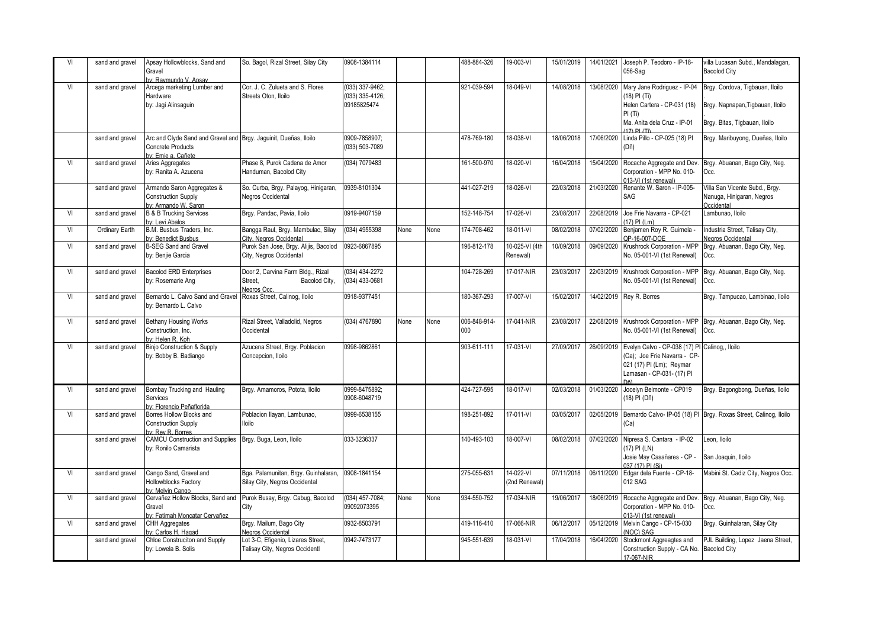| VI | sand and gravel | Apsay Hollowblocks, Sand and<br>Gravel<br>by: Raymundo V. Apsay                                                   | So. Bagol, Rizal Street, Silay City                                          | 0908-1384114                                      |      |      | 488-884-326         | 19-003-VI                  | 15/01/2019 | 14/01/2021 | Joseph P. Teodoro - IP-18-<br>056-Sag                                                                                                              | villa Lucasan Subd., Mandalagan,<br><b>Bacolod City</b>                                              |
|----|-----------------|-------------------------------------------------------------------------------------------------------------------|------------------------------------------------------------------------------|---------------------------------------------------|------|------|---------------------|----------------------------|------------|------------|----------------------------------------------------------------------------------------------------------------------------------------------------|------------------------------------------------------------------------------------------------------|
| VI | sand and gravel | Arcega marketing Lumber and<br>Hardware<br>by: Jagi Alinsaguin                                                    | Cor. J. C. Zulueta and S. Flores<br>Streets Oton, Iloilo                     | (033) 337-9462;<br>(033) 335-4126;<br>09185825474 |      |      | 921-039-594         | 18-049-VI                  | 14/08/2018 | 13/08/2020 | Mary Jane Rodriguez - IP-04<br>(18) PI (Ti)<br>Helen Cartera - CP-031 (18)<br>PI(Ti)<br>Ma. Anita dela Cruz - IP-01<br>$17)$ DI $(Ti)$             | Brgy. Cordova, Tigbauan, Iloilo<br>Brgy. Napnapan, Tigbauan, Iloilo<br>Brgy. Bitas, Tigbauan, Iloilo |
|    | sand and gravel | Arc and Clyde Sand and Gravel and Brgy. Jaguinit, Dueñas, Iloilo<br><b>Concrete Products</b><br>hv: Emie a Cañete |                                                                              | 0909-7858907:<br>(033) 503-7089                   |      |      | 478-769-180         | 18-038-VI                  | 18/06/2018 | 17/06/2020 | Linda Pillo - CP-025 (18) PI<br>(Dñ)                                                                                                               | Brgy. Maribuyong, Dueñas, Iloilo                                                                     |
| VI | sand and gravel | Aries Aggregates<br>by: Ranita A. Azucena                                                                         | Phase 8. Purok Cadena de Amor<br>Handuman, Bacolod City                      | (034) 7079483                                     |      |      | 161-500-970         | 18-020-VI                  | 16/04/2018 |            | 15/04/2020 Rocache Aggregate and Dev.<br>Corporation - MPP No. 010-<br>013-VI (1st renewal)                                                        | Brgy. Abuanan, Bago City, Neg.<br>Occ.                                                               |
|    | sand and gravel | Armando Saron Aggregates &<br><b>Construction Supply</b><br>by: Armando W. Saron                                  | So. Curba, Brgy. Palayog, Hinigaran,<br>Negros Occidental                    | 0939-8101304                                      |      |      | 441-027-219         | $18 - 026 - V1$            | 22/03/2018 | 21/03/2020 | Renante W. Saron - IP-005-<br>SAG                                                                                                                  | Villa San Vicente Subd., Brgy.<br>Nanuga, Hinigaran, Negros<br>Occidental                            |
| VI | sand and gravel | <b>B &amp; B Trucking Services</b><br>bv: Levi Abalos                                                             | Brgy. Pandac, Pavia, Iloilo                                                  | 0919-9407159                                      |      |      | 152-148-754         | 17-026-VI                  | 23/08/2017 |            | 22/08/2019 Joe Frie Navarra - CP-021<br>$17)$ PI (1 m)                                                                                             | Lambunao, Iloilo                                                                                     |
| VI | Ordinary Earth  | B.M. Busbus Traders, Inc.<br>by: Benedict Busbus                                                                  | Bangga Raul, Brgy. Mambulac, Silay<br>City, Negros Occidental                | (034) 4955398                                     | None | None | 174-708-462         | 18-011-VI                  | 08/02/2018 | 07/02/2020 | Benjamen Roy R. Guirnela<br>OP-16-007-DOE                                                                                                          | Industria Street, Talisay City,<br>Negros Occidental                                                 |
| VI | sand and gravel | <b>B-SEG Sand and Gravel</b><br>by: Benjie Garcia                                                                 | Purok San Jose, Brgy. Alijis, Bacolod<br>City, Negros Occidental             | 0923-6867895                                      |      |      | 196-812-178         | 10-025-VI (4th<br>Renewal) | 10/09/2018 | 09/09/2020 | Krushrock Corporation - MPP<br>No. 05-001-VI (1st Renewal)                                                                                         | Brgy. Abuanan, Bago City, Neg.<br>Occ.                                                               |
| VI | sand and gravel | <b>Bacolod ERD Enterprises</b><br>by: Rosemarie Ang                                                               | Door 2, Carvina Farm Bldg., Rizal<br>Street.<br>Bacolod City,<br>Negros Occ. | (034) 434-2272<br>(034) 433-0681                  |      |      | 104-728-269         | 17-017-NIR                 | 23/03/2017 |            | 22/03/2019 Krushrock Corporation - MPP<br>No. 05-001-VI (1st Renewal)                                                                              | Brgy. Abuanan, Bago City, Neg.<br>Occ.                                                               |
| VI | sand and gravel | Bernardo L. Calvo Sand and Gravel<br>by: Bernardo L. Calvo                                                        | Roxas Street, Calinog, Iloilo                                                | 0918-9377451                                      |      |      | 180-367-293         | 17-007-VI                  | 15/02/2017 |            | 14/02/2019 Rey R. Borres                                                                                                                           | Brgy. Tampucao, Lambinao, Iloilo                                                                     |
| VI | sand and gravel | <b>Bethany Housing Works</b><br>Construction, Inc.<br>ov: Helen R. Koh                                            | Rizal Street, Valladolid, Negros<br>Occidental                               | (034) 4767890                                     | None | None | 006-848-914-<br>000 | 17-041-NIR                 | 23/08/2017 |            | No. 05-001-VI (1st Renewal)                                                                                                                        | 22/08/2019 Krushrock Corporation - MPP Brgy. Abuanan, Bago City, Neg.<br>Occ.                        |
| VI | sand and gravel | <b>Binjo Construction &amp; Supply</b><br>by: Bobby B. Badiango                                                   | Azucena Street, Brgy. Poblacion<br>Concepcion, Iloilo                        | 0998-9862861                                      |      |      | 903-611-111         | 17-031-VI                  | 27/09/2017 |            | 26/09/2019 Evelyn Calvo - CP-038 (17) PI Calinog,, Iloilo<br>(Ca); Joe Frie Navarra - CP-<br>021 (17) PI (Lm); Reymar<br>Lamasan - CP-031- (17) Pl |                                                                                                      |
| VI | sand and gravel | Bombay Trucking and Hauling<br>Services<br>ov: Florencio Peñaflorida                                              | Brgy. Amamoros, Potota, Iloilo                                               | 0999-8475892:<br>0908-6048719                     |      |      | 424-727-595         | $18 - 017 - V1$            | 02/03/2018 | 01/03/2020 | Jocelyn Belmonte - CP019<br>(18) PI (Dñ)                                                                                                           | Brgy. Bagongbong, Dueñas, Iloilo                                                                     |
| VI | sand and gravel | Borres Hollow Blocks and<br><b>Construction Supply</b><br>by Rev R Borres                                         | Poblacion Ilayan, Lambunao,<br><b>Iloilo</b>                                 | 0999-6538155                                      |      |      | 198-251-892         | 17-011-VI                  | 03/05/2017 |            | (Ca)                                                                                                                                               | 02/05/2019 Bernardo Calvo- IP-05 (18) PI Brgy. Roxas Street, Calinog, Iloilo                         |
|    | sand and gravel | <b>CAMCU Construction and Supplies</b><br>by: Ronilo Camarista                                                    | Brgy. Buga, Leon, Iloilo                                                     | 033-3236337                                       |      |      | 140-493-103         | 18-007-VI                  | 08/02/2018 |            | 07/02/2020 Nipresa S. Cantara - IP-02<br>(17) PI (LN)<br>Josie May Casañares - CP<br>037 (17) PI (Si)                                              | Leon. Iloilo<br>San Joaquin, Iloilo                                                                  |
| VI | sand and gravel | Cango Sand, Gravel and<br>Hollowblocks Factory<br>hy: Melvin Cango                                                | Bga. Palamunitan, Brgy. Guinhalaran,<br>Silay City, Negros Occidental        | 0908-1841154                                      |      |      | 275-055-631         | 14-022-VI<br>(2nd Renewal) | 07/11/2018 |            | 06/11/2020 Edgar dela Fuente - CP-18-<br>012 SAG                                                                                                   | Mabini St. Cadiz City, Negros Occ.                                                                   |
| VI | sand and gravel | Cervañez Hollow Blocks, Sand and<br>Gravel<br>by: Fatimah Moncatar Cervañez                                       | Purok Busay, Brgy. Cabug, Bacolod<br>City                                    | (034) 457-7084;<br>09092073395                    | None | None | 934-550-752         | 17-034-NIR                 | 19/06/2017 | 18/06/2019 | Rocache Aggregate and Dev.<br>Corporation - MPP No. 010-<br>013-VI (1st renewal)                                                                   | Brgy. Abuanan, Bago City, Neg.<br>Occ.                                                               |
| VI | sand and gravel | <b>CHH Aggregates</b><br>bv: Carlos H. Hagad                                                                      | Brgy. Mailum, Bago City<br>Negros Occidental                                 | 0932-8503791                                      |      |      | 419-116-410         | 17-066-NIR                 | 06/12/2017 |            | 05/12/2019 Melvin Cango - CP-15-030<br>(NOC) SAG                                                                                                   | Brgy. Guinhalaran, Silay City                                                                        |
|    | sand and gravel | Chloe Construciton and Supply<br>by: Lowela B. Solis                                                              | Lot 3-C, Efigenio, Lizares Street,<br>Talisay City, Negros Occidentl         | 0942-7473177                                      |      |      | 945-551-639         | $18-031 - Vl$              | 17/04/2018 | 16/04/2020 | Stockmont Aggreagtes and<br>Construction Supply - CA No. Bacolod City<br>17-067-NIR                                                                | PJL Building, Lopez Jaena Street,                                                                    |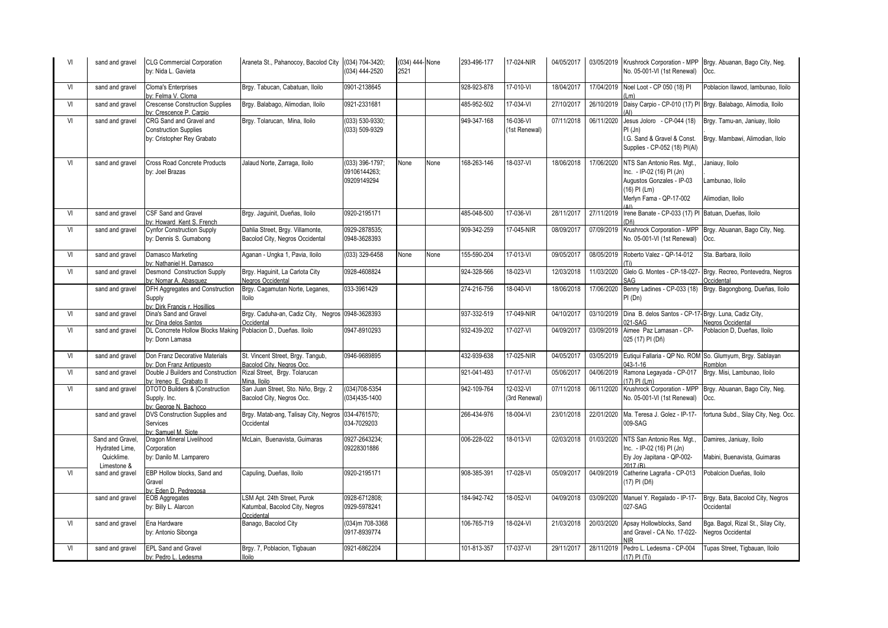| VI | sand and gravel                                                  | <b>CLG Commercial Corporation</b><br>by: Nida L. Gavieta                              | Araneta St., Pahanocoy, Bacolod City                                        | (034) 704-3420;<br>(034) 444-2520              | (034) 444- None<br>2521 |      | 293-496-177 | 17-024-NIR                 | 04/05/2017 |            | No. 05-001-VI (1st Renewal)                                                                                                   | 03/05/2019 Krushrock Corporation - MPP Brgy. Abuanan, Bago City, Neg.<br>Occ. |
|----|------------------------------------------------------------------|---------------------------------------------------------------------------------------|-----------------------------------------------------------------------------|------------------------------------------------|-------------------------|------|-------------|----------------------------|------------|------------|-------------------------------------------------------------------------------------------------------------------------------|-------------------------------------------------------------------------------|
| VI | sand and gravel                                                  | <b>Cloma's Enterprises</b><br>ov: Felma V. Cloma                                      | Brgy. Tabucan, Cabatuan, Iloilo                                             | 0901-2138645                                   |                         |      | 928-923-878 | 17-010-VI                  | 18/04/2017 |            | 17/04/2019 Noel Loot - CP 050 (18) PI                                                                                         | Poblacion Ilawod, lambunao, Iloilo                                            |
| VI | sand and gravel                                                  | <b>Crescense Construction Supplies</b><br>ov: Crescence P. Carpio                     | Brgy. Balabago, Alimodian, Iloilo                                           | 0921-2331681                                   |                         |      | 485-952-502 | 17-034-VI                  | 27/10/2017 | 26/10/2019 |                                                                                                                               | Daisy Carpio - CP-010 (17) PI Brgy. Balabago, Alimodia, Iloilo                |
| VI | sand and gravel                                                  | CRG Sand and Gravel and<br><b>Construction Supplies</b><br>by: Cristopher Rey Grabato | Brgy. Tolarucan, Mina, Iloilo                                               | (033) 530-9330;<br>(033) 509-9329              |                         |      | 949-347-168 | 16-036-VI<br>(1st Renewal) | 07/11/2018 | 06/11/2020 | Jesus Joloro - CP-044 (18)<br>PI(Jn)<br>I.G. Sand & Gravel & Const.<br>Supplies - CP-052 (18) PI(Al)                          | Brgy. Tamu-an, Janiuay, Iloilo<br>Brgy. Mambawi, Alimodian, Ilolo             |
| VI | sand and gravel                                                  | <b>Cross Road Concrete Products</b><br>by: Joel Brazas                                | Jalaud Norte, Zarraga, Iloilo                                               | (033) 396-1797;<br>09106144263;<br>09209149294 | None                    | None | 168-263-146 | 18-037-VI                  | 18/06/2018 | 17/06/2020 | NTS San Antonio Res. Mgt<br>Inc. - IP-02 (16) PI (Jn)<br>Augustos Gonzales - IP-03<br>(16) PI (Lm)<br>Merlyn Fama - QP-17-002 | Janiauy, Iloilo<br>Lambunao, Iloilo<br>Alimodian, Iloilo                      |
| VI | sand and gravel                                                  | CSF Sand and Gravel<br>by: Howard Kent S. French                                      | Brgy. Jaguinit, Dueñas, Iloilo                                              | 0920-2195171                                   |                         |      | 485-048-500 | 17-036-VI                  | 28/11/2017 | 27/11/2019 | Irene Banate - CP-033 (17) PI Batuan, Dueñas, Iloilo                                                                          |                                                                               |
| VI | sand and gravel                                                  | <b>Cynfor Construction Supply</b><br>by: Dennis S. Gumabong                           | Dahlia Street, Brgy. Villamonte,<br>Bacolod City, Negros Occidental         | 0929-2878535;<br>0948-3628393                  |                         |      | 909-342-259 | 17-045-NIR                 | 08/09/2017 | 07/09/2019 | Krushrock Corporation - MPP<br>No. 05-001-VI (1st Renewal)                                                                    | Brgy. Abuanan, Bago City, Neg.<br>Occ.                                        |
| VI | sand and gravel                                                  | Damasco Marketing<br>by: Nathaniel H. Damasco                                         | Aganan - Ungka 1, Pavia, Iloilo                                             | (033) 329-6458                                 | None                    | None | 155-590-204 | 17-013-VI                  | 09/05/2017 | 08/05/2019 | Roberto Valez - QP-14-012                                                                                                     | Sta. Barbara, Iloilo                                                          |
| VI | sand and gravel                                                  | <b>Desmond Construction Supply</b><br>bv: Nomar A. Abasquez                           | Brgy. Haquinit, La Carlota City<br>Negros Occidental                        | 0928-4608824                                   |                         |      | 924-328-566 | 18-023-VI                  | 12/03/2018 | 11/03/2020 | Glelo G. Montes - CP-18-027<br>SAG                                                                                            | Brgy. Recreo, Pontevedra, Negros<br>Occidental                                |
|    | sand and gravel                                                  | DFH Aggregates and Construction<br>Supply<br>by: Dirk Francis r. Hosillios            | Brgy. Cagamutan Norte, Leganes,<br>lloilo                                   | 033-3961429                                    |                         |      | 274-216-756 | 18-040-VI                  | 18/06/2018 | 17/06/2020 | PI(Dn)                                                                                                                        | Benny Ladines - CP-033 (18) Brgy. Bagongbong, Dueñas, Iloilo                  |
| VI | sand and gravel                                                  | Dina's Sand and Gravel<br>by: Dina delos Santos                                       | Brgy. Caduha-an, Cadiz City, Negros 0948-3628393<br>Occidental              |                                                |                         |      | 937-332-519 | 17-049-NIR                 | 04/10/2017 |            | 03/10/2019 Dina B. delos Santos - CP-17-Brgy. Luna, Cadiz City,<br>021-SAG                                                    | Negros Occidental                                                             |
| VI | sand and gravel                                                  | <b>DL Concrrete Hollow Blocks Making</b><br>by: Donn Lamasa                           | Poblacion D., Dueñas, Iloilo                                                | 0947-8910293                                   |                         |      | 932-439-202 | 17-027-VI                  | 04/09/2017 | 03/09/2019 | Aimee Paz Lamasan - CP-<br>025 (17) PI (Dñ)                                                                                   | Poblacion D. Dueñas, Iloilo                                                   |
| VI | sand and gravel                                                  | Don Franz Decorative Materials<br>by: Don Franz Antipuesto                            | St. Vincent Street, Brgy. Tangub,<br>Bacolod City, Negros Occ.              | 0946-9689895                                   |                         |      | 432-939-638 | 17-025-NIR                 | 04/05/2017 | 03/05/2019 | $143 - 1 - 16$                                                                                                                | Eutiqui Fallaria - QP No. ROM So. Glumyum, Brgy. Sablayan<br>Romblon          |
| VI | sand and gravel                                                  | Double J Builders and Construction<br>by: Ireneo E. Grabato II                        | Rizal Street, Brgy. Tolarucan<br>Mina, Iloilo                               |                                                |                         |      | 921-041-493 | 17-017-VI                  | 05/06/2017 | 04/06/2019 | Ramona Legayada - CP-017<br>17) PI (Lm)                                                                                       | Brgy. Misi, Lambunao, Iloilo                                                  |
| VI | sand and gravel                                                  | DTOTO Builders &  Construction<br>Supply. Inc.<br>v: George N. Bachoco                | San Juan Street, Sto. Niño, Brqy. 2<br>Bacolod City, Negros Occ.            | (034)708-5354<br>034)435-1400                  |                         |      | 942-109-764 | 12-032-VI<br>(3rd Renewal) | 07/11/2018 | 06/11/2020 | Krushrock Corporation - MPP<br>No. 05-001-VI (1st Renewal)                                                                    | Brgy. Abuanan, Bago City, Neg.<br>Occ.                                        |
|    | sand and gravel                                                  | DVS Construction Supplies and<br>Services<br>by: Samuel M. Siote                      | Brgy. Matab-ang, Talisay City, Negros 034-4761570;<br>Occidental            | 034-7029203                                    |                         |      | 266-434-976 | 18-004-VI                  | 23/01/2018 |            | 22/01/2020 Ma. Teresa J. Golez - IP-17-<br>009-SAG                                                                            | fortuna Subd., Silay City, Neq. Occ.                                          |
|    | Sand and Gravel,<br>Hydrated Lime,<br>Quicklime.<br>I imestone & | Dragon Mineral Livelihood<br>Corporation<br>by: Danilo M. Lamparero                   | McLain, Buenavista, Guimaras                                                | 0927-2643234;<br>09228301886                   |                         |      | 006-228-022 | 18-013-VI                  | 02/03/2018 |            | 01/03/2020 NTS San Antonio Res. Mgt.,<br>Inc. - IP-02 (16) PI (Jn)<br>Ely Joy Japitana - QP-002-<br>2017 (R)                  | Damires, Janiuay, Iloilo<br>Mabini, Buenavista, Guimaras                      |
| VI | sand and gravel                                                  | EBP Hollow blocks, Sand and<br>Gravel<br>by: Eden D. Pedregosa                        | Capuling, Dueñas, Iloilo                                                    | 0920-2195171                                   |                         |      | 908-385-391 | 17-028-VI                  | 05/09/2017 |            | 04/09/2019 Catherine Lagraña - CP-013<br>(17) PI (Dñ)                                                                         | Pobalcion Dueñas, Iloilo                                                      |
|    | sand and gravel                                                  | <b>EOB Aggregates</b><br>by: Billy L. Alarcon                                         | LSM Apt. 24th Street, Purok<br>Katumbal, Bacolod City, Negros<br>Occidental | 0928-6712808:<br>0929-5978241                  |                         |      | 184-942-742 | 18-052-VI                  | 04/09/2018 | 03/09/2020 | Manuel Y. Regalado - IP-17-<br>027-SAG                                                                                        | Brgy. Bata, Bacolod City, Negros<br>Occidental                                |
| VI | sand and gravel                                                  | Ena Hardware<br>by: Antonio Sibonga                                                   | Banago, Bacolod City                                                        | (034)m 708-3368<br>0917-8939774                |                         |      | 106-765-719 | 18-024-VI                  | 21/03/2018 | 20/03/2020 | Apsay Hollowblocks, Sand<br>and Gravel - CA No. 17-022-<br><b>NIR</b>                                                         | Bga. Bagol, Rizal St., Silay City,<br>Negros Occidental                       |
| VI | sand and gravel                                                  | <b>EPL Sand and Gravel</b><br>bv: Pedro L. Ledesma                                    | Brgy. 7, Poblacion, Tigbauan<br>lloilo                                      | 0921-6862204                                   |                         |      | 101-813-357 | $17-037 - Vl$              | 29/11/2017 |            | 28/11/2019 Pedro L. Ledesma - CP-004<br>(17) PI (Ti)                                                                          | Tupas Street, Tigbauan, Iloilo                                                |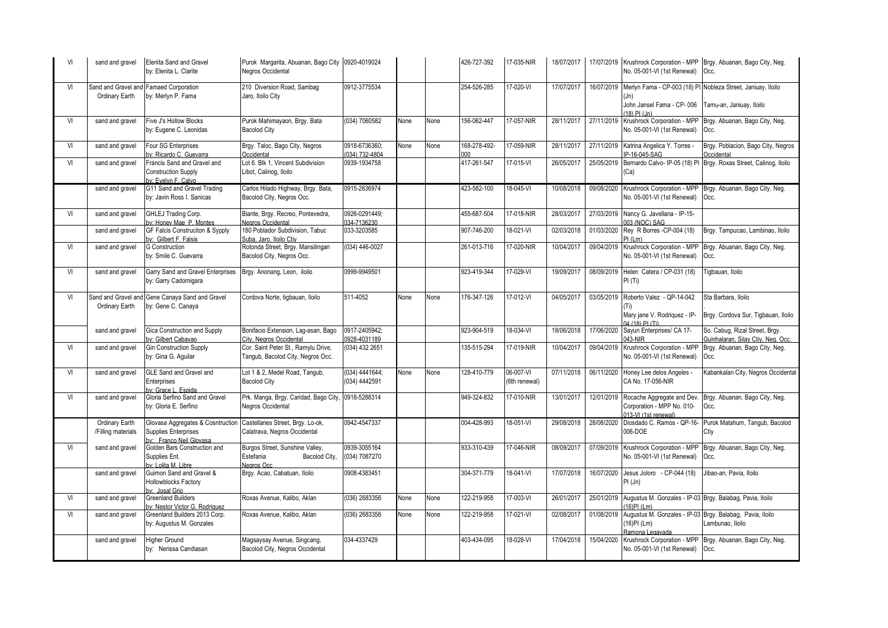| VI | sand and gravel                       | Elenita Sand and Gravel<br>by: Elenita L. Clarite                                    | Purok Margarita, Abuanan, Bago City 0920-4019024<br>Negros Occidental       |                                 |      |      | 426-727-392         | 17-035-NIR                 | 18/07/2017 |            | No. 05-001-VI (1st Renewal)                                                                    | 17/07/2019 Krushrock Corporation - MPP Brgy. Abuanan, Bago City, Neg.<br>Occ. |
|----|---------------------------------------|--------------------------------------------------------------------------------------|-----------------------------------------------------------------------------|---------------------------------|------|------|---------------------|----------------------------|------------|------------|------------------------------------------------------------------------------------------------|-------------------------------------------------------------------------------|
| VI | Sand and Gravel and<br>Ordinary Earth | <b>Famaed Corporation</b><br>by: Merlyn P. Fama                                      | 210 Diversion Road, Sambaq<br>Jaro, Iloilo City                             | 0912-3775534                    |      |      | 254-526-285         | 17-020-VI                  | 17/07/2017 | 16/07/2019 | Merlyn Fama - CP-003 (18) PI Nobleza Street, Janiuay, Iloilo<br>(Jn)                           |                                                                               |
|    |                                       |                                                                                      |                                                                             |                                 |      |      |                     |                            |            |            | John Jansel Fama - CP-006<br>$(18)$ PI $(ln)$                                                  | Tamu-an, Janiuay, Iloilo                                                      |
| VI | sand and gravel                       | Five J's Hollow Blocks<br>by: Eugene C. Leonidas                                     | Purok Mahimayaon, Brgy. Bata<br><b>Bacolod City</b>                         | (034) 7060582                   | None | None | 156-062-447         | 17-057-NIR                 | 28/11/2017 | 27/11/2019 | Krushrock Corporation - MPP<br>No. 05-001-VI (1st Renewal)                                     | Brgy. Abuanan, Bago City, Neg.<br>Occ.                                        |
| VI | sand and gravel                       | Four SG Enterprises<br>y: Ricardo C. Guevarra                                        | Brgy. Taloc, Bago City, Negros<br>Occidental                                | 0918-6736360;<br>(034) 732-4804 | None | None | 168-278-492-<br>000 | 17-059-NIR                 | 28/11/2017 | 27/11/2019 | Katrina Angelica Y. Torres -<br>P-16-045-SAG                                                   | Brgy. Poblacion, Bago City, Negros<br><b>Occidental</b>                       |
| VI | sand and gravel                       | Francis Sand and Gravel and<br><b>Construction Supply</b><br>ov: Evelyn F. Calvo     | Lot 6. Blk 1, Vincent Subdivision<br>Libot, Calinog, Iloilo                 | 0939-1934758                    |      |      | 417-261-547         | 17-015-VI                  | 26/05/2017 | 25/05/2019 | (Ca)                                                                                           | Bernardo Calvo- IP-05 (18) PI Brgy. Roxas Street, Calinog, Iloilo             |
|    | sand and gravel                       | G11 Sand and Gravel Trading<br>by: Javin Ross I. Sanicas                             | Carlos Hilado Highway, Brgy. Bata,<br>Bacolod City, Negros Occ.             | 0915-2636974                    |      |      | 423-582-100         | 18-045-VI                  | 10/08/2018 | 09/08/2020 | No. 05-001-VI (1st Renewal)                                                                    | Krushrock Corporation - MPP Brgy. Abuanan, Bago City, Neg.<br>Occ.            |
| VI | sand and gravel                       | GHLEJ Trading Corp.<br>v: Honey Mae P. Montes                                        | Biante, Brgy. Recreo, Pontevedra,<br>Negros Occidental                      | 0926-0291449;<br>034-7136230    |      |      | 455-687-504         | 17-018-NIR                 | 28/03/2017 | 27/03/2019 | Nancy G. Javellana - IP-15-<br>003 (NOC) SAG                                                   |                                                                               |
|    | sand and gravel                       | GF Falcis Construciton & Sypply<br>ov: Gilbert F. Falsis                             | 180 Poblador Subdivision, Tabuc<br>Suba, Jaro, Iloilo Ctiv                  | 033-3203585                     |      |      | 907-746-200         | 18-021-VI                  | 02/03/2018 | 01/03/2020 | Rey R Borres - CP-004 (18)<br>PI (Lm)                                                          | Brgy. Tampucao, Lambinao, Iloilo                                              |
| VI | sand and gravel                       | <b>G</b> Construction<br>by: Smile C. Guevarra                                       | Rotonda Street, Brgy. Mansilingan<br>Bacolod City, Negros Occ.              | (034) 446-0027                  |      |      | 261-013-716         | 17-020-NIR                 | 10/04/2017 | 09/04/2019 | Krushrock Corporation - MPF<br>No. 05-001-VI (1st Renewal)                                     | Brgy. Abuanan, Bago City, Neg.<br>Occ.                                        |
| VI | sand and gravel                       | Garry Sand and Gravel Enterprises<br>by: Garry Cadornigara                           | Brgy. Anonang, Leon, iloilo                                                 | 0999-9949501                    |      |      | 923-419-344         | 17-029-VI                  | 19/09/2017 | 08/09/2019 | Helen Catera / CP-031 (18)<br>PI(Ti)                                                           | Tigbauan, Iloilo                                                              |
| VI | Ordinary Earth                        | Sand and Gravel and Gene Canaya Sand and Gravel<br>by: Gene C. Canaya                | Cordova Norte, tigbauan, Iloilo                                             | 511-4052                        | None | None | 176-347-126         | 17-012-VI                  | 04/05/2017 | 03/05/2019 | Roberto Valez - QP-14-042                                                                      | Sta Barbara, Iloilo                                                           |
|    |                                       |                                                                                      |                                                                             |                                 |      |      |                     |                            |            |            | Mary jane V. Rodriquez - IP-<br>04 (18) PI (Ti)                                                | Brgy. Cordova Sur, Tigbauan, Iloilo                                           |
|    | sand and gravel                       | <b>Gica Construction and Supply</b><br>v: Gilbert Cabayao                            | Bonifacio Extension, Laq-asan, Bago<br>City, Negros Occidental              | 0917-2405942:<br>0928-4031189   |      |      | 923-904-519         | 18-034-VI                  | 18/06/2018 | 17/06/2020 | Sayun Enterprises/ CA 17-<br>043-NIR                                                           | So. Cabuq, Rizal Street, Brgy.<br>Guinhalaran, Silay Ctiv, Neg. Occ.          |
| VI | sand and gravel                       | <b>Gin Construction Supply</b><br>by: Gina G. Aquilar                                | Cor. Saint Peter St., Ramylu Drive,<br>Tangub, Bacolod City, Negros Occ.    | $(034)$ 432 2651                |      |      | 135-515-294         | 17-019-NIR                 | 10/04/2017 | 09/04/2019 | Krushrock Corporation - MPI<br>No. 05-001-VI (1st Renewal)                                     | Brgy. Abuanan, Bago City, Neg.<br>Occ.                                        |
| VI | sand and gravel                       | GLE Sand and Gravel and<br>Enterprises<br>w: Grace L. Espida                         | Lot 1 & 2, Medel Road, Tangub,<br><b>Bacolod City</b>                       | (034) 4441644;<br>(034) 4442591 | None | None | 128-410-779         | 06-007-VI<br>(6th renewal) | 07/11/2018 | 06/11/2020 | Honey Lee delos Angeles -<br>CA No. 17-056-NIR                                                 | Kabankalan City, Negros Occidental                                            |
| VI | sand and gravel                       | Gloria Serfino Sand and Gravel<br>by: Gloria E. Serfino                              | Prk. Manga, Brgy. Caridad, Bago City, 0918-5288314<br>Negros Occidental     |                                 |      |      | 949-324-832         | 17-010-NIR                 | 13/01/2017 | 12/01/2019 | Rocache Aggregate and Dev<br>Corporation - MPP No. 010-<br>013-VI (1st renewal)                | Brgy. Abuanan, Bago City, Neg.<br>Occ.                                        |
|    | Ordinary Earth<br>/Filling materials  | Glovasa Aggregates & Cosntruction<br>Supplies Enterprises<br>ov: Franco Neil Glovasa | Castellanes Street, Brgy. Lo-ok,<br>Calatrava, Negros Occidental            | 0942-4547337                    |      |      | 004-428-993         | 18-051-VI                  | 29/08/2018 | 28/08/2020 | Diosdado C. Ramos - QP-16-<br>006-DOE                                                          | Purok Matahum, Tangub, Bacolod<br>Ctiy                                        |
| VI | sand and gravel                       | Golden Bars Construction and<br>Supplies Ent.<br>v <sup>:</sup> Lolita M. Libre      | Burgos Street, Sunshine Valley,<br>Estefania<br>Bacolod City,<br>Negros Occ | 0939-3055164<br>(034) 7087270   |      |      | 933-310-439         | 17-046-NIR                 | 08/09/2017 | 07/09/2019 | Krushrock Corporation - MPP<br>No. 05-001-VI (1st Renewal)                                     | Brgy. Abuanan, Bago City, Neg.<br>Occ.                                        |
|    | sand and gravel                       | Guimon Sand and Gravel &<br><b>Hollowblocks Factory</b><br>ov: Josal Grio            | Brgy. Acao, Cabatuan, Iloilo                                                | 0908-4383451                    |      |      | 304-371-779         | 18-041-VI                  | 17/07/2018 | 16/07/2020 | Jesus Joloro - CP-044 (18)<br>PI (Jn)                                                          | Jibao-an, Pavia, Iloilo                                                       |
| VI | sand and gravel                       | <b>Greenland Builders</b><br>v: Nestor Victor G. Rodriguez                           | Roxas Avenue, Kalibo, Aklan                                                 | (036) 2683356                   | None | None | 122-219-958         | $17 - 003 - V1$            | 26/01/2017 | 25/01/2019 | Augustus M. Gonzales - IP-03 Brgy. Balabag, Pavia, Iloilo<br>16)PI (Lm)                        |                                                                               |
| VI | sand and gravel                       | Greenland Builders 2013 Corp.<br>by: Augustus M. Gonzales                            | Roxas Avenue, Kalibo, Aklan                                                 | (036) 2683356                   | None | None | 122-219-958         | 17-021-VI                  | 02/08/2017 | 01/08/2019 | Augustus M. Gonzales - IP-03 Brgy. Balabag, Pavia, Iloilo<br>$(16)$ PI (Lm)<br>Ramona Legavada | Lambunao, Iloilo                                                              |
|    | sand and gravel                       | <b>Higher Ground</b><br>by: Nerissa Candiasan                                        | Magsaysay Avenue, Singcang,<br>Bacolod City, Negros Occidental              | 034-4337429                     |      |      | 403-434-095         | 18-028-VI                  | 17/04/2018 | 15/04/2020 | Krushrock Corporation - MPP<br>No. 05-001-VI (1st Renewal)                                     | Brgy. Abuanan, Bago City, Neg.<br>Occ.                                        |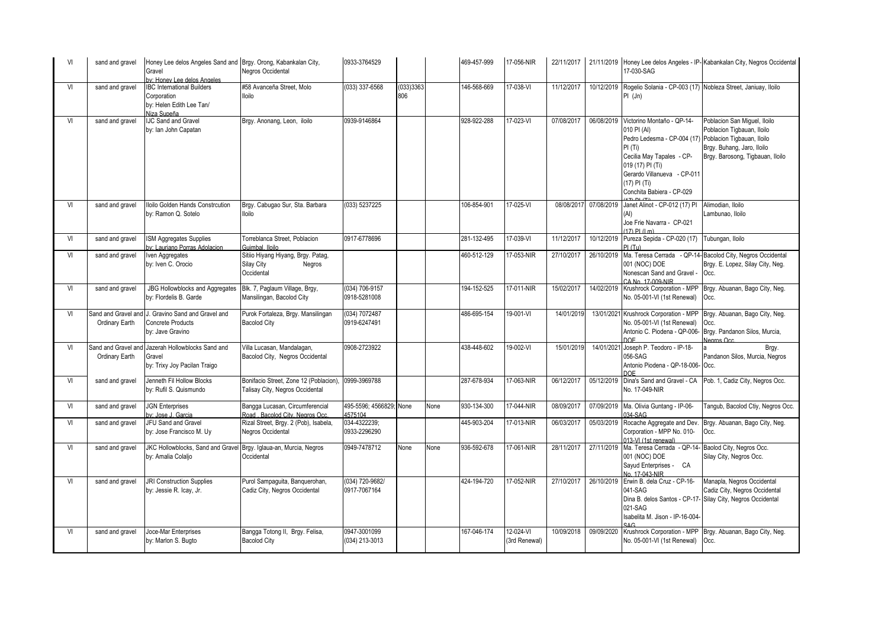| VI | sand and gravel                       | Honey Lee delos Angeles Sand and Brgy. Orong, Kabankalan City,<br>Gravel<br>y: Honey Lee delos Angeles | Negros Occidental                                                         | 0933-3764529                       |                  |      | 469-457-999 | 17-056-NIR                   | 22/11/2017 |            | 17-030-SAG                                                                                                                                                                                                      | 21/11/2019 Honey Lee delos Angeles - IP-Kabankalan City, Negros Occidental                                                                                 |
|----|---------------------------------------|--------------------------------------------------------------------------------------------------------|---------------------------------------------------------------------------|------------------------------------|------------------|------|-------------|------------------------------|------------|------------|-----------------------------------------------------------------------------------------------------------------------------------------------------------------------------------------------------------------|------------------------------------------------------------------------------------------------------------------------------------------------------------|
| VI | sand and gravel                       | <b>IBC International Builders</b><br>Corporation<br>by: Helen Edith Lee Tan/<br>Niza Supeña            | #58 Avanceña Street, Molo<br>lloilo                                       | (033) 337-6568                     | (033)3363<br>806 |      | 146-568-669 | 17-038-VI                    | 11/12/2017 | 10/12/2019 | PI (Jn)                                                                                                                                                                                                         | Rogelio Solania - CP-003 (17) Nobleza Street, Janiuay, Iloilo                                                                                              |
| VI | sand and gravel                       | <b>IJC Sand and Gravel</b><br>by: Ian John Capatan                                                     | Brgy. Anonang, Leon, iloilo                                               | 0939-9146864                       |                  |      | 928-922-288 | $17-023-VI$                  | 07/08/2017 | 06/08/2019 | Victorino Montaño - QP-14-<br>010 PI (AI)<br>Pedro Ledesma - CP-004 (17)<br>PI(Ti)<br>Cecilia May Tapales - CP-<br>019 (17) PI (Ti)<br>Gerardo Villanueva - CP-011<br>(17) PI (Ti)<br>Conchita Babiera - CP-029 | Poblacion San Miquel, Iloilo<br>Poblacion Tigbauan, Iloilo<br>Poblacion Tigbauan, Iloilo<br>Brgy. Buhang, Jaro, Iloilo<br>Brgy. Barosong, Tigbauan, Iloilo |
| VI | sand and gravel                       | Iloilo Golden Hands Constrcution<br>by: Ramon Q. Sotelo                                                | Brgy. Cabugao Sur, Sta. Barbara<br>lloilo                                 | (033) 5237225                      |                  |      | 106-854-901 | 17-025-VI                    | 08/08/2017 | 07/08/2019 | Janet Alinot - CP-012 (17) PI<br>Joe Frie Navarra - CP-021<br>$(17)$ PI $(1 m)$                                                                                                                                 | Alimodian, Iloilo<br>Lambunao, Iloilo                                                                                                                      |
| VI | sand and gravel                       | <b>ISM Aggregates Supplies</b><br>y: Lauriano Porras Adolacion                                         | Torreblanca Street, Poblacion<br>Guimbal, Iloilo                          | 0917-6778696                       |                  |      | 281-132-495 | 17-039-VI                    | 11/12/2017 | 10/12/2019 | Pureza Sepida - CP-020 (17)<br>PI(TII)                                                                                                                                                                          | Tubungan, Iloilo                                                                                                                                           |
| VI | sand and gravel                       | Iven Aggregates<br>by: Iven C. Orocio                                                                  | Sitiio Hiyang Hiyang, Brgy. Patag,<br>Silay City<br>Negros<br>Occidental  |                                    |                  |      | 460-512-129 | 17-053-NIR                   | 27/10/2017 | 26/10/2019 | Ma. Teresa Cerrada - QP-14<br>001 (NOC) DOE<br>Nonescan Sand and Gravel<br>CA No. 17-009-NIR                                                                                                                    | Bacolod City, Negros Occidental<br>Brgy. E. Lopez, Silay City, Neg.<br>Occ.                                                                                |
| VI | sand and gravel                       | <b>JBG Hollowblocks and Aggregates</b><br>by: Flordelis B. Garde                                       | Blk. 7, Paglaum Village, Brgy,<br>Mansilingan, Bacolod City               | (034) 706-9157<br>0918-5281008     |                  |      | 194-152-525 | 17-011-NIR                   | 15/02/2017 | 14/02/2019 | Krushrock Corporation - MPP<br>No. 05-001-VI (1st Renewal)                                                                                                                                                      | Brgy. Abuanan, Bago City, Neg.<br>Occ.                                                                                                                     |
| VI | Ordinary Earth                        | Sand and Gravel and J. Gravino Sand and Gravel and<br><b>Concrete Products</b><br>by: Jave Gravino     | Purok Fortaleza, Brgy. Mansilingan<br><b>Bacolod City</b>                 | (034) 7072487<br>0919-6247491      |                  |      | 486-695-154 | 19-001-VI                    | 14/01/2019 |            | 13/01/2021 Krushrock Corporation - MPP<br>No. 05-001-VI (1st Renewal)<br>Antonio C. Piodena - QP-006-<br>DOF                                                                                                    | Brgy. Abuanan, Bago City, Neg.<br>Occ.<br>Brgy. Pandanon Silos, Murcia,<br>Nearos Occ                                                                      |
| VI | Sand and Gravel and<br>Ordinary Earth | Jazerah Hollowblocks Sand and<br>Gravel<br>by: Trixy Joy Pacilan Traigo                                | Villa Lucasan, Mandalagan,<br>Bacolod City, Negros Occidental             | 0908-2723922                       |                  |      | 438-448-602 | 19-002-VI                    | 15/01/2019 | 14/01/2021 | Joseph P. Teodoro - IP-18-<br>056-SAG<br>Antonio Piodena - QP-18-006- Occ.<br><b>DOE</b>                                                                                                                        | Brgy.<br>Pandanon Silos, Murcia, Negros                                                                                                                    |
| VI | sand and gravel                       | Jenneth Fil Hollow Blocks<br>by: Rufil S. Quismundo                                                    | Bonifacio Street, Zone 12 (Poblacion),<br>Talisay City, Negros Occidental | 0999-3969788                       |                  |      | 287-678-934 | 17-063-NIR                   | 06/12/2017 | 05/12/2019 | Dina's Sand and Gravel - CA<br>No. 17-049-NIR                                                                                                                                                                   | Pob. 1, Cadiz City, Negros Occ.                                                                                                                            |
| VI | sand and gravel                       | <b>JGN Enterprises</b><br>v: Jose J. Garcia                                                            | Bangga Lucasan, Circumferencial<br>Road, Bacolod City, Negros Occ.        | 495-5596; 4566829; None<br>4575104 |                  | None | 930-134-300 | 17-044-NIR                   | 08/09/2017 | 07/09/2019 | Ma. Olivia Guntang - IP-06-<br>34-SAG                                                                                                                                                                           | Tangub, Bacolod Ctiy, Negros Occ.                                                                                                                          |
| VI | sand and gravel                       | JFU Sand and Gravel<br>by: Jose Francisco M. Uy                                                        | Rizal Street, Brgy. 2 (Pob), Isabela,<br>Negros Occidental                | 034-4322239;<br>0933-2296290       |                  |      | 445-903-204 | 17-013-NIR                   | 06/03/2017 | 05/03/2019 | Rocache Aggregate and Dev<br>Corporation - MPP No. 010-<br>013-VI (1st renewal)                                                                                                                                 | Brgy. Abuanan, Bago City, Neg.<br>Occ.                                                                                                                     |
| VI | sand and gravel                       | JKC Hollowblocks, Sand and Gravel Brgy. Iglaua-an, Murcia, Negros<br>by: Amalia Colaljo                | Occidental                                                                | 0949-7478712                       | None             | None | 936-592-678 | 17-061-NIR                   | 28/11/2017 | 27/11/2019 | Ma. Teresa Cerrada - QP-14- Baolod City, Negros Occ.<br>001 (NOC) DOE<br>Sayud Enterprises - CA<br>No. 17-043-NIR                                                                                               | Silay City, Negros Occ.                                                                                                                                    |
| VI | sand and gravel                       | JRI Construction Supplies<br>by: Jessie R. Icay, Jr.                                                   | Purol Sampaguita, Banquerohan,<br>Cadiz City, Negros Occidental           | (034) 720-9682/<br>0917-7067164    |                  |      | 424-194-720 | 17-052-NIR                   | 27/10/2017 | 26/10/2019 | Erwin B. dela Cruz - CP-16-<br>041-SAG<br>Dina B. delos Santos - CP-17- Silay City, Negros Occidental<br>021-SAG<br>Isabelita M. Jison - IP-16-004-<br>AC                                                       | Manapla, Negros Occidental<br>Cadiz City, Negros Occidental                                                                                                |
| VI | sand and gravel                       | Joce-Mar Enterprises<br>by: Marlon S. Bugto                                                            | Bangga Totong II, Brgy. Felisa,<br><b>Bacolod City</b>                    | 0947-3001099<br>(034) 213-3013     |                  |      | 167-046-174 | $12-024-Vl$<br>(3rd Renewal) | 10/09/2018 | 09/09/2020 | Krushrock Corporation - MPP<br>No. 05-001-VI (1st Renewal)                                                                                                                                                      | Brgy. Abuanan, Bago City, Neg.<br>Occ.                                                                                                                     |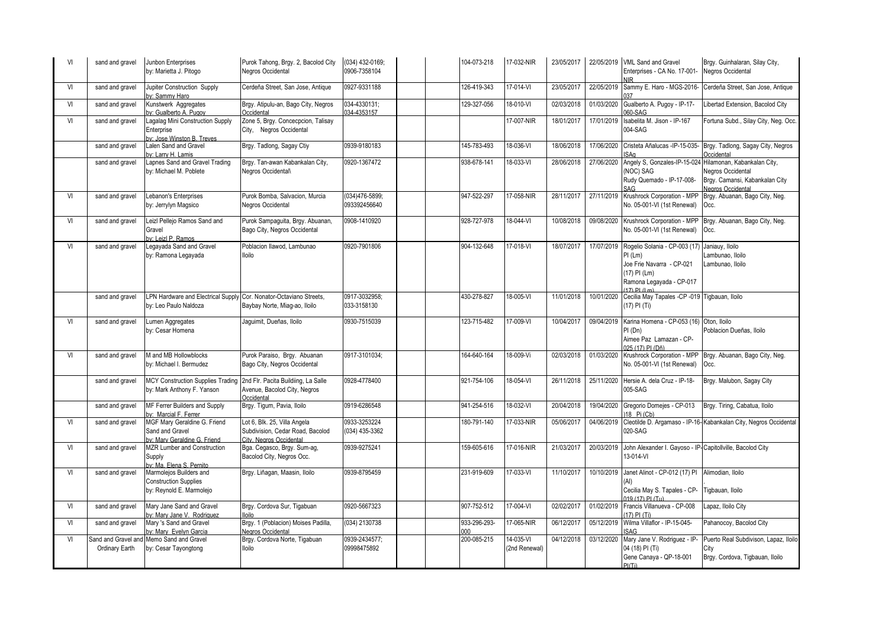| VI | sand and gravel | Junbon Enterprises<br>by: Marietta J. Pitogo                                        | Purok Tahong, Brgy. 2, Bacolod City<br>Negros Occidental                                    | (034) 432-0169;<br>0906-7358104 | 104-073-218         | 17-032-NIR                 | 23/05/2017 |            | 22/05/2019 VML Sand and Gravel<br>Enterprises - CA No. 17-001-<br><b>NIR</b>                                                             | Brgy. Guinhalaran, Silay City,<br>Negros Occidental                              |
|----|-----------------|-------------------------------------------------------------------------------------|---------------------------------------------------------------------------------------------|---------------------------------|---------------------|----------------------------|------------|------------|------------------------------------------------------------------------------------------------------------------------------------------|----------------------------------------------------------------------------------|
| VI | sand and gravel | Jupiter Construction Supply<br>ov: Sammy Haro                                       | Cerdeña Street, San Jose, Antique                                                           | 0927-9331188                    | 126-419-343         | $17 - 014 - V1$            | 23/05/2017 | 22/05/2019 | Sammy E. Haro - MGS-2016-                                                                                                                | Cerdeña Street, San Jose, Antique                                                |
| VI | sand and gravel | Kunstwerk Aggregates<br>ov: Gualberto A. Pugov                                      | Brgy. Atipulu-an, Bago City, Negros<br>Occidental                                           | 034-4330131;<br>034-4353157     | 129-327-056         | 18-010-VI                  | 02/03/2018 | 01/03/2020 | Gualberto A. Pugoy - IP-17-<br>060-SAG                                                                                                   | ibertad Extension, Bacolod City                                                  |
| VI | sand and gravel | Lagalag Mini Construction Supply<br>Enterprise<br>v: Jose Winston B. Treves         | Zone 5, Brgy. Concecpcion, Talisay<br>City. Negros Occidental                               |                                 |                     | 17-007-NIR                 | 18/01/2017 | 17/01/2019 | Isabelita M. Jison - IP-167<br>004-SAG                                                                                                   | Fortuna Subd., Silay City, Neg. Occ.                                             |
|    | sand and gravel | Lalen Sand and Gravel<br>ov: Larry H. Lamis                                         | Brgy. Tadlong, Sagay Ctiy                                                                   | 0939-9180183                    | 145-783-493         | 18-036-VI                  | 18/06/2018 | 17/06/2020 | Cristeta Añalucas -IP-15-035-<br><b>SAn</b>                                                                                              | Brgy. Tadlong, Sagay City, Negros<br>Occidental                                  |
|    | sand and gravel | Lapnes Sand and Gravel Trading<br>by: Michael M. Poblete                            | Brgy. Tan-awan Kabankalan City,<br>Negros Occidental\                                       | 0920-1367472                    | 938-678-141         | 18-033-VI                  | 28/06/2018 | 27/06/2020 | Angely S, Gonzales-IP-15-024 Hilamonan, Kabankalan City,<br>(NOC) SAG<br>Rudy Quemado - IP-17-008-                                       | Negros Occidental<br>Brgy. Camansi, Kabankalan City<br>Negros Occidental         |
| VI | sand and gravel | Lebanon's Enterprises<br>by: Jerrylyn Magsico                                       | Purok Bomba, Salvacion, Murcia<br>Negros Occidental                                         | 034)476-5899;<br>093392456640   | 947-522-297         | 17-058-NIR                 | 28/11/2017 | 27/11/2019 | Krushrock Corporation - MPP<br>No. 05-001-VI (1st Renewal)                                                                               | Brgy. Abuanan, Bago City, Neg.<br>Occ.                                           |
| VI | sand and gravel | Leizl Pellejo Ramos Sand and<br>Gravel<br>by: Leizl P. Ramos                        | Purok Sampaguita, Brgy. Abuanan,<br>Bago City, Negros Occidental                            | 0908-1410920                    | 928-727-978         | 18-044-VI                  | 10/08/2018 |            | 09/08/2020 Krushrock Corporation - MPP<br>No. 05-001-VI (1st Renewal)                                                                    | Brgy. Abuanan, Bago City, Neg.<br>Occ.                                           |
| VI | sand and gravel | Legayada Sand and Gravel<br>by: Ramona Legayada                                     | Poblacion Ilawod, Lambunao<br>lloilo                                                        | 0920-7901806                    | 904-132-648         | $17 - 018 - V1$            | 18/07/2017 | 17/07/2019 | Rogelio Solania - CP-003 (17)<br>$PI$ (Lm)<br>Joe Frie Navarra - CP-021<br>(17) PI (Lm)<br>Ramona Legayada - CP-017<br>$(17)$ PI $(1 m)$ | Janiauy, Iloilo<br>ambunao, Iloilo<br>Lambunao, Iloilo                           |
|    | sand and gravel | LPN Hardware and Electrical Supply<br>by: Leo Paulo Naldoza                         | Cor. Nonator-Octaviano Streets,<br>Baybay Norte, Miag-ao, Iloilo                            | 0917-3032958;<br>033-3158130    | 430-278-827         | 18-005-VI                  | 11/01/2018 | 10/01/2020 | Cecilia May Tapales -CP -019 Tigbauan, Iloilo<br>(17) PI (Ti)                                                                            |                                                                                  |
| VI | sand and gravel | Lumen Aggregates<br>by: Cesar Homena                                                | Jaquimit, Dueñas, Iloilo                                                                    | 0930-7515039                    | 123-715-482         | 17-009-VI                  | 10/04/2017 | 09/04/2019 | Karina Homena - CP-053 (16) Oton, Iloilo<br>PI(Dn)<br>Aimee Paz Lamazan - CP-<br>025 (17) PL (Dñ)                                        | Poblacion Dueñas, Iloilo                                                         |
| VI | sand and gravel | M and MB Hollowblocks<br>by: Michael I. Bermudez                                    | Purok Paraiso, Brgy. Abuanan<br>Bago City, Negros Occidental                                | 0917-3101034:                   | 164-640-164         | 18-009-Vi                  | 02/03/2018 | 01/03/2020 | Krushrock Corporation - MPP<br>No. 05-001-VI (1st Renewal)                                                                               | Brgy. Abuanan, Bago City, Neg.<br>Occ.                                           |
|    | sand and gravel | <b>MCY Construction Supplies Trading</b><br>by: Mark Anthony F. Yanson              | 2nd Flr. Pacita Buildiing, La Salle<br>Avenue, Bacolod City, Negros<br><b>Occidental</b>    | 0928-4778400                    | 921-754-106         | 18-054-VI                  | 26/11/2018 |            | 25/11/2020 Hersie A. dela Cruz - IP-18-<br>005-SAG                                                                                       | Brgy. Malubon, Sagay City                                                        |
|    | sand and gravel | MF Ferrer Builders and Supply<br>y: Marcial F. Ferrer                               | Brgy. Tigum, Pavia, Iloilo                                                                  | 0919-6286548                    | 941-254-516         | 18-032-VI                  | 20/04/2018 | 19/04/2020 | Gregorio Domejes - CP-013<br>18 Pi (Cb)                                                                                                  | Brgy. Tiring, Cabatua, Iloilo                                                    |
| VI | sand and gravel | MGF Mary Geraldine G. Friend<br>Sand and Gravel<br>ov: Mary Geraldine G. Friend     | Lot 6, Blk. 25, Villa Angela<br>Subdivision, Cedar Road, Bacolod<br>City, Negros Occidental | 0933-3253224<br>(034) 435-3362  | 180-791-140         | 17-033-NIR                 | 05/06/2017 | 04/06/2019 | 020-SAG                                                                                                                                  | Cleotilde D. Argamaso - IP-16- Kabankalan City, Negros Occidental                |
| VI | sand and gravel | MZR Lumber and Construction<br>Supply<br>ov: Ma. Elena S. Pernito                   | Bga. Cegasco, Brgy. Sum-ag,<br>Bacolod City, Negros Occ.                                    | 0939-9275241                    | 159-605-616         | 17-016-NIR                 | 21/03/2017 |            | 20/03/2019 John Alexander I. Gayoso - IP-Capitollville, Bacolod City<br>13-014-VI                                                        |                                                                                  |
| VI | sand and gravel | Marmolejos Builders and<br><b>Construction Supplies</b><br>by: Reynold E. Marmolejo | Brgy. Liñagan, Maasin, Iloilo                                                               | 0939-8795459                    | 231-919-609         | 17-033-VI                  | 11/10/2017 | 10/10/2019 | Janet Alinot - CP-012 (17) PI<br>Cecilia May S. Tapales - CP-<br>019 (17) PL (Tu)                                                        | Alimodian, Iloilo<br>Tigbauan, Iloilo                                            |
| VI | sand and gravel | Mary Jane Sand and Gravel<br>ov: Mary Jane V. Rodriguez                             | Brgy. Cordova Sur, Tigabuan                                                                 | 0920-5667323                    | 907-752-512         | $17 - 004 - V1$            | 02/02/2017 | 01/02/2019 | Francis Villanueva - CP-008<br>17) PI (Ti)                                                                                               | apaz, Iloilo City                                                                |
| VI | sand and gravel | Mary 's Sand and Gravel<br>by: Mary Evelyn Garcia                                   | Brgy. 1 (Poblacion) Moises Padilla,<br>Negros Occidenta                                     | (034) 2130738                   | 933-296-293-<br>000 | 17-065-NIR                 | 06/12/2017 | 05/12/2019 | Wilma Villaflor - IP-15-045-<br><b>ISAG</b>                                                                                              | Pahanocoy, Bacolod City                                                          |
| VI | Ordinary Earth  | Sand and Gravel and Memo Sand and Gravel<br>by: Cesar Tayongtong                    | Brgy. Cordova Norte, Tigabuan<br>lloilo                                                     | 0939-2434577;<br>09998475892    | 200-085-215         | 14-035-VI<br>(2nd Renewal) | 04/12/2018 | 03/12/2020 | Mary Jane V. Rodriguez - IP<br>04 (18) PI (Ti)<br>Gene Canaya - QP-18-001<br>PI(Ti)                                                      | Puerto Real Subdivison, Lapaz, Iloilo<br>City<br>Brgy. Cordova, Tigbauan, Iloilo |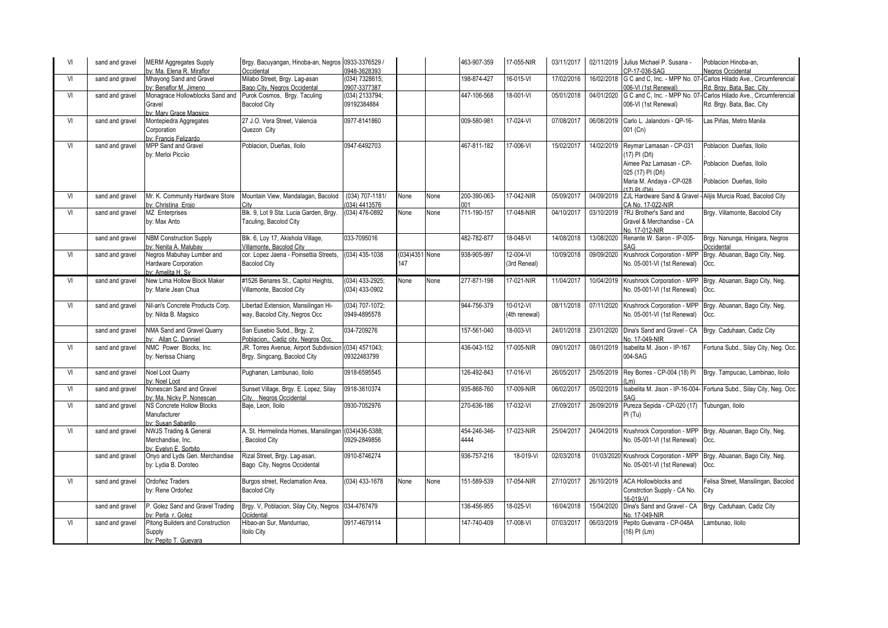| VI | sand and gravel | <b>MERM Aggregates Supply</b><br>by: Ma. Elena R. Miraflor                      | Brgy. Bacuyangan, Hinoba-an, Negros 0933-3376529 /<br>Occidental                      | 0948-3628393                      |                       |      | 463-907-359          | 17-055-NIR                 | 03/11/2017 |            | 02/11/2019 Julius Michael P. Susana<br>CP-17-036-SAG                                                                               | Poblacion Hinoba-an.<br>Negros Occidental                                                                 |
|----|-----------------|---------------------------------------------------------------------------------|---------------------------------------------------------------------------------------|-----------------------------------|-----------------------|------|----------------------|----------------------------|------------|------------|------------------------------------------------------------------------------------------------------------------------------------|-----------------------------------------------------------------------------------------------------------|
| VI | sand and gravel | Mhayong Sand and Gravel<br>by: Benaflor M. Jimeno                               | Milabo Street, Brgy. Lag-asan<br>Bago City, Negros Occidental                         | (034) 7328615;<br>0907-3377387    |                       |      | 198-874-427          | 16-015-VI                  | 17/02/2016 |            | 16/02/2018 G C and C, Inc. - MPP No. 07<br>06-VI (1st Renewal)                                                                     | Carlos Hilado Ave., Circumferencial<br>Rd. Brav. Bata. Bac. City                                          |
| VI | sand and gravel | Monagrace Hollowblocks Sand and<br>Gravel<br>hy: Mary Grace Magsico             | Purok Cosmos, Brgy. Taculing<br><b>Bacolod City</b>                                   | (034) 2133794;<br>09192384884     |                       |      | 447-106-568          | 18-001-VI                  | 05/01/2018 |            | 006-VI (1st Renewal)                                                                                                               | 04/01/2020 G C and C, Inc. - MPP No. 07- Carlos Hilado Ave., Circumferencial<br>Rd. Brgy. Bata, Bac. City |
| VI | sand and gravel | Montepiedra Aggregates<br>Corporation<br>by: Francis Felizardo                  | 27 J.O. Vera Street, Valencia<br>Quezon City                                          | 0977-8141860                      |                       |      | 009-580-981          | 17-024-VI                  | 07/08/2017 | 06/08/2019 | Carlo L. Jalandoni - QP-16-<br>001 (Cn)                                                                                            | Las Piñas, Metro Manila                                                                                   |
| VI | sand and gravel | MPP Sand and Gravel<br>by: Merloi Picciio                                       | Poblacion, Dueñas, Iloilo                                                             | 0947-6492703                      |                       |      | 467-811-182          | 17-006-VI                  | 15/02/2017 | 14/02/2019 | Reymar Lamasan - CP-031<br>(17) PI (Dñ)<br>Aimee Paz Lamasan - CP-<br>025 (17) PI (Dñ)<br>Maria M. Andaya - CP-028<br>(17) PL (Dñ) | Poblacion Dueñas, Iloilo<br>Poblacion Dueñas, Iloilo<br>Poblacion Dueñas, Iloilo                          |
| VI | sand and gravel | Mr. K. Community Hardware Store<br>by: Christina Eroio                          | Mountain View, Mandalagan, Bacolod                                                    | (034) 707-1181/<br>(034) 4413576  | None                  | None | 200-390-063-<br>nn1  | 17-042-NIR                 | 05/09/2017 |            | CA No. 17-022-NIR                                                                                                                  | 04/09/2019 ZJL Hardware Sand & Gravel - Alijis Murcia Road, Bacolod City                                  |
| VI | sand and gravel | MZ Enterprises<br>by: Max Anto                                                  | Blk. 9, Lot 9 Sta. Lucia Garden, Brqy.<br>Taculing, Bacolod City                      | (034) 476-0892                    | None                  | None | 711-190-157          | 17-048-NIR                 | 04/10/2017 |            | 03/10/2019 7RJ Brother's Sand and<br>Gravel & Merchandise - CA<br>No. 17-012-NIR                                                   | Brgy. Villamonte, Bacolod City                                                                            |
|    | sand and gravel | <b>NBM Construction Supply</b><br>by: Nenita A. Malubay                         | Blk. 6, Loy 17, Akishola Village,<br>Villamonte Bacolod City                          | 033-7095016                       |                       |      | 482-782-877          | 18-048-VI                  | 14/08/2018 | 13/08/2020 | Renante W. Saron - IP-005-<br><b>AG</b>                                                                                            | Brgy. Nanunga, Hinigara, Negros<br><b>Occidental</b>                                                      |
| VI | sand and gravel | Negros Mabuhay Lumber and<br>Hardware Corporation<br>by: Amelita H. Sv          | cor. Lopez Jaena - Poinsettia Streets.<br><b>Bacolod City</b>                         | (034) 435-1038                    | (034)4351 None<br>147 |      | 938-905-997          | 12-004-VI<br>(3rd Reneal)  | 10/09/2018 | 09/09/2020 | Krushrock Corporation - MPP<br>No. 05-001-VI (1st Renewal)                                                                         | Brgy. Abuanan, Bago City, Neg.<br>Occ.                                                                    |
| VI | sand and gravel | New Lima Hollow Block Maker<br>by: Marie Jean Chua                              | #1526 Benares St., Capitol Heights,<br>Villamonte, Bacolod City                       | (034) 433-2925;<br>(034) 433-0902 | None                  | None | 277-871-198          | 17-021-NIR                 | 11/04/2017 | 10/04/2019 | Krushrock Corporation - MPP<br>No. 05-001-VI (1st Renewal)                                                                         | Brgy. Abuanan, Bago City, Neg.<br>Occ.                                                                    |
| VI | sand and gravel | Nil-an's Concrete Products Corp.<br>by: Nilda B. Magsico                        | Libertad Extension, Mansilingan Hi-<br>way, Bacolod City, Negros Occ                  | (034) 707-1072;<br>0949-4895578   |                       |      | 944-756-379          | 10-012-VI<br>(4th renewal) | 08/11/2018 | 07/11/2020 | Krushrock Corporation - MPP<br>No. 05-001-VI (1st Renewal)                                                                         | Brgy. Abuanan, Bago City, Neg.<br>Occ.                                                                    |
|    | sand and gravel | NMA Sand and Gravel Quarry<br>by: Allan C. Danniel                              | San Eusebio Subd., Brgy. 2,<br>Poblacion,. Cadiz city, Negros Occ.                    | 034-7209276                       |                       |      | 157-561-040          | 18-003-VI                  | 24/01/2018 | 23/01/2020 | Dina's Sand and Gravel - CA<br>No. 17-049-NIR                                                                                      | Brgy. Caduhaan, Cadiz City                                                                                |
| VI | sand and gravel | NMC Power Blocks, Inc.<br>by: Nerissa Chiang                                    | JR. Torres Avenue, Airport Subdivision (034) 4571043;<br>Brgy. Singcang, Bacolod City | 09322483799                       |                       |      | 436-043-152          | 17-005-NIR                 | 09/01/2017 | 08/01/2019 | Isabelita M. Jison - IP-167<br>004-SAG                                                                                             | Fortuna Subd., Silay City, Neg. Occ.                                                                      |
| VI | sand and gravel | Noel Loot Quarry<br>by: Noel Loot                                               | Pughanan, Lambunao, Iloilo                                                            | 0918-6595545                      |                       |      | 126-492-843          | 17-016-VI                  | 26/05/2017 | 25/05/2019 | Rey Borres - CP-004 (18) PI                                                                                                        | Brgy. Tampucao, Lambinao, Iloilo                                                                          |
| VI | sand and gravel | Nonescan Sand and Gravel<br>by: Ma. Nicky P. Nonescan                           | Sunset Village, Brgy. E. Lopez, Silay<br>City. Negros Occidental                      | 0918-3610374                      |                       |      | 935-868-760          | 17-009-NIR                 | 06/02/2017 | 05/02/2019 | Isabelita M. Jison - IP-16-004-<br>SAG                                                                                             | Fortuna Subd., Silay City, Neg. Occ.                                                                      |
| VI | sand and gravel | <b>NS Concrete Hollow Blocks</b><br>Manufacturer<br>by: Susan Sabarillo         | Baje, Leon, Iloilo                                                                    | 0930-7052976                      |                       |      | 270-636-186          | 17-032-VI                  | 27/09/2017 | 26/09/2019 | Pureza Sepida - CP-020 (17)<br>PI (Tu)                                                                                             | Tubungan, Iloilo                                                                                          |
| VI | sand and gravel | <b>NWJS Trading &amp; General</b><br>Merchandise, Inc.<br>by: Evelyn E. Sorbito | A. St. Hermelinda Homes, Mansilingan<br><b>Bacolod City</b>                           | (034)436-5388;<br>0929-2849856    |                       |      | 454-246-346-<br>4444 | 17-023-NIR                 | 25/04/2017 | 24/04/2019 | Krushrock Corporation - MPP<br>No. 05-001-VI (1st Renewal)                                                                         | Brgy. Abuanan, Bago City, Neg.<br>Occ.                                                                    |
|    | sand and gravel | Onyo and Lyds Gen. Merchandise<br>by: Lydia B. Doroteo                          | Rizal Street, Brgy. Lag-asan,<br>Bago City, Negros Occidental                         | 0910-8746274                      |                       |      | 936-757-216          | 18-019-Vi                  | 02/03/2018 |            | 01/03/2020 Krushrock Corporation - MPP<br>No. 05-001-VI (1st Renewal)                                                              | Brgy. Abuanan, Bago City, Neg.<br>Occ.                                                                    |
| VI | sand and gravel | Ordoñez Traders<br>by: Rene Ordoñez                                             | Burgos street, Reclamation Area,<br><b>Bacolod City</b>                               | (034) 433-1678                    | None                  | None | 151-589-539          | 17-054-NIR                 | 27/10/2017 |            | 26/10/2019 ACA Hollowblocks and<br>Constrction Supply - CA No.<br>16-019-VI                                                        | Felisa Street, Mansilingan, Bacolod<br>City                                                               |
|    | sand and gravel | P. Golez Sand and Gravel Trading<br>bv: Perla r. Golez                          | Brgy. V, Poblacion, Silay City, Negros 034-4767479<br>Ociidental                      |                                   |                       |      | 136-456-955          | $18 - 025 - V1$            | 16/04/2018 |            | 15/04/2020 Dina's Sand and Gravel - CA<br>No. 17-049-NIR                                                                           | Brgy. Caduhaan, Cadiz City                                                                                |
| VI | sand and gravel | Pitong Builders and Construction<br>Supply<br>by: Pepito T. Guevara             | Hibao-an Sur, Mandurriao,<br><b>Iloilo City</b>                                       | 0917-4679114                      |                       |      | 147-740-409          | 17-008-VI                  | 07/03/2017 | 06/03/2019 | Pepito Guevarra - CP-048A<br>(16) PI (Lm)                                                                                          | ambunao, Iloilo                                                                                           |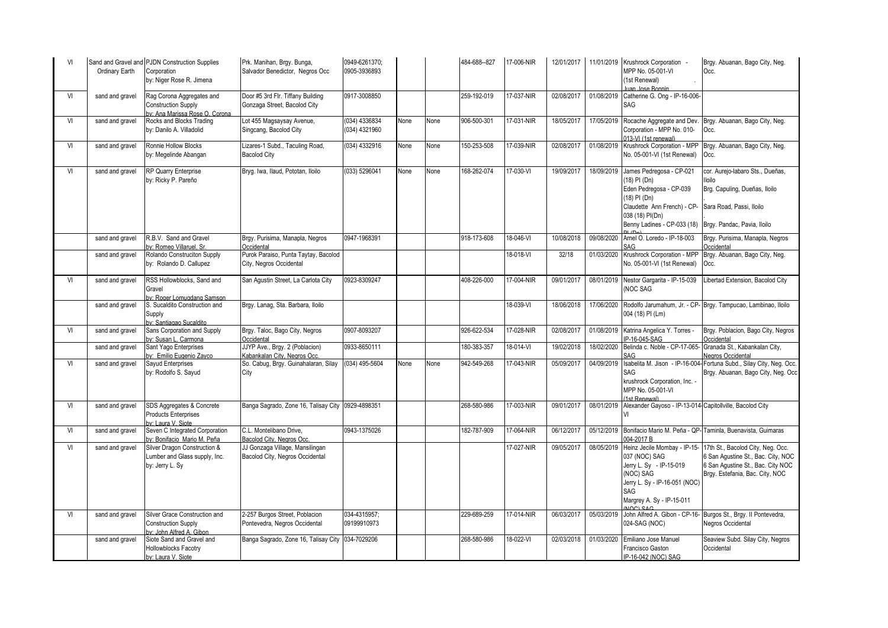| VI | Ordinary Earth  | Sand and Gravel and PJDN Construction Supplies<br>Corporation<br>by: Niger Rose R. Jimena | Prk. Manihan, Brgy. Bunga,<br>Salvador Benedictor, Negros Occ      | 0949-6261370;<br>0905-3936893  |      |      | 484-688--827 | 17-006-NIR    | 12/01/2017 |            | 11/01/2019 Krushrock Corporation -<br>MPP No. 05-001-VI<br>(1st Renewal)<br>uan Jose Bonnin                                                                          | Brgy. Abuanan, Bago City, Neg.<br>Occ.                                                                                                          |
|----|-----------------|-------------------------------------------------------------------------------------------|--------------------------------------------------------------------|--------------------------------|------|------|--------------|---------------|------------|------------|----------------------------------------------------------------------------------------------------------------------------------------------------------------------|-------------------------------------------------------------------------------------------------------------------------------------------------|
| VI | sand and gravel | Rag Corona Aggregates and<br><b>Construction Supply</b><br>ov: Ana Marissa Rose O. Corona | Door #5 3rd Flr. Tiffany Building<br>Gonzaga Street, Bacolod City  | 0917-3008850                   |      |      | 259-192-019  | 17-037-NIR    | 02/08/2017 | 01/08/2019 | Catherine G. Ong - IP-16-006-<br>SAG                                                                                                                                 |                                                                                                                                                 |
| VI | sand and gravel | Rocks and Blocks Trading<br>by: Danilo A. Villadolid                                      | Lot 455 Magsaysay Avenue,<br>Singcang, Bacolod City                | (034) 4336834<br>(034) 4321960 | None | None | 906-500-301  | 17-031-NIR    | 18/05/2017 | 17/05/2019 | Rocache Aggregate and Dev<br>Corporation - MPP No. 010-<br>013-VI (1st renewal)                                                                                      | Brgy. Abuanan, Bago City, Neg.<br>Occ.                                                                                                          |
| VI | sand and gravel | Ronnie Hollow Blocks<br>by: Megelinde Abangan                                             | Lizares-1 Subd., Taculing Road,<br><b>Bacolod City</b>             | (034) 4332916                  | None | None | 150-253-508  | 17-039-NIR    | 02/08/2017 | 01/08/2019 | Krushrock Corporation - MPP<br>No. 05-001-VI (1st Renewal)                                                                                                           | Brgy. Abuanan, Bago City, Neg.<br>Occ.                                                                                                          |
| VI | sand and gravel | RP Quarry Enterprise<br>by: Ricky P. Pareño                                               | Bryg. Iwa, Ilaud, Pototan, Iloilo                                  | (033) 5296041                  | None | None | 168-262-074  | 17-030-VI     | 19/09/2017 | 18/09/2019 | James Pedregosa - CP-021<br>(18) PI (Dn)<br>Eden Pedregosa - CP-039<br>(18) PI (Dn)<br>Claudette Ann French) - CP-<br>038 (18) PI(Dn)<br>Benny Ladines - CP-033 (18) | cor. Aurejo-labaro Sts., Dueñas,<br>lloilo<br>Brg. Capuling, Dueñas, Iloilo<br>Sara Road, Passi, Iloilo<br>Brgy. Pandac, Pavia, Iloilo          |
|    | sand and gravel | R.B.V. Sand and Gravel<br>vy: Romeo Villaruel, Sr.                                        | Brgy. Purisima, Manapla, Negros<br>Occidental                      | 0947-1968391                   |      |      | 918-173-608  | 18-046-VI     | 10/08/2018 | 09/08/2020 | Arnel O. Loredo - IP-18-003<br>SAG                                                                                                                                   | Brgy. Purisima, Manapla, Negros<br>Occidental                                                                                                   |
|    | sand and gravel | Rolando Construciton Supply<br>by: Rolando D. Callupez                                    | Purok Paraiso, Punta Taytay, Bacolod<br>City, Negros Occidental    |                                |      |      |              | 18-018-VI     | 32/18      | 01/03/2020 | Krushrock Corporation - MPP<br>No. 05-001-VI (1st Renewal)                                                                                                           | Brgy. Abuanan, Bago City, Neg.<br>Occ.                                                                                                          |
| VI | sand and gravel | RSS Hollowblocks, Sand and<br>Gravel<br>v: Roger Lomugdang Samson                         | San Agustin Street, La Carlota City                                | 0923-8309247                   |      |      | 408-226-000  | 17-004-NIR    | 09/01/2017 | 08/01/2019 | Nestor Gargarita - IP-15-039<br>(NOC SAG                                                                                                                             | Libertad Extension, Bacolod City                                                                                                                |
|    | sand and gravel | S. Sucaldito Construction and<br>Supply<br>v: Santiagao Sucaldito                         | Brgy. Lanag, Sta. Barbara, Iloilo                                  |                                |      |      |              | 18-039-VI     | 18/06/2018 | 17/06/2020 | 004 (18) PI (Lm)                                                                                                                                                     | Rodolfo Jarumahum, Jr. - CP- Brgy. Tampucao, Lambinao, Iloilo                                                                                   |
| VI | sand and gravel | Sans Corporation and Supply<br>vy: Susan L. Carmona                                       | Brgy. Taloc, Bago City, Negros<br><b>Occidental</b>                | 0907-8093207                   |      |      | 926-622-534  | 17-028-NIR    | 02/08/2017 | 01/08/2019 | Katrina Angelica Y. Torres -<br>P-16-045-SAG                                                                                                                         | Brgy. Poblacion, Bago City, Negros<br>Occidental                                                                                                |
|    | sand and gravel | Sant Yago Enterprises<br>y: Emilio Eugenio Zayco                                          | JJYP Ave., Brgy. 2 (Poblacion)<br>Kabankalan City, Negros Occ.     | 0933-8650111                   |      |      | 180-383-357  | 18-014-VI     | 19/02/2018 | 18/02/2020 | Belinda c. Noble - CP-17-065<br>SAG                                                                                                                                  | Granada St., Kabankalan City,<br>Negros Occidental                                                                                              |
| VI | sand and gravel | Sayud Enterprises<br>by: Rodolfo S. Sayud                                                 | So. Cabuq, Brqy. Guinahalaran, Silay<br>City                       | (034) 495-5604                 | None | None | 942-549-268  | 17-043-NIR    | 05/09/2017 | 04/09/2019 | SAG<br>krushrock Corporation, Inc. -<br>MPP No. 05-001-VI<br>(1st Renewal)                                                                                           | Isabelita M. Jison - IP-16-004- Fortuna Subd., Silay City, Neg. Occ.<br>Brgy. Abuanan, Bago City, Neg. Occ                                      |
| VI | sand and gravel | SDS Aggregates & Concrete<br><b>Products Enterprises</b><br>w: Laura V. Siote             | Banga Sagrado, Zone 16, Talisay City 0929-4898351                  |                                |      |      | 268-580-986  | 17-003-NIR    | 09/01/2017 | 08/01/2019 | Alexander Gayoso - IP-13-014- Capitollville, Bacolod City                                                                                                            |                                                                                                                                                 |
| VI | sand and gravel | Seven C Integrated Corporation<br>v: Bonifacio Mario M. Peña                              | C.L. Montelibano Drive,<br>Bacolod City, Negros Occ.               | 0943-1375026                   |      |      | 182-787-909  | 17-064-NIR    | 06/12/2017 | 05/12/2019 | 04-2017 B                                                                                                                                                            | Bonifacio Mario M. Peña - QP- Taminla, Buenavista, Guimaras                                                                                     |
| VI | sand and gravel | Silver Dragon Construction &<br>Lumber and Glass supply, Inc.<br>by: Jerry L. Sy          | JJ Gonzaga Village, Mansilingan<br>Bacolod City, Negros Occidental |                                |      |      |              | 17-027-NIR    | 09/05/2017 | 08/05/2019 | Heinz Jecile Mombay - IP-15-<br>037 (NOC) SAG<br>Jerry L. Sy - IP-15-019<br>(NOC) SAG<br>Jerry L. Sy - IP-16-051 (NOC)<br>SAG<br>Margrey A. Sy - IP-15-011           | 17th St., Bacolod City, Neg. Occ.<br>6 San Agustine St., Bac. City, NOC<br>6 San Agustine St., Bac. City NOC<br>Brgy. Estefania, Bac. City, NOC |
| VI | sand and gravel | Silver Grace Construction and<br><b>Construction Supply</b><br>y: John Alfred A. Gibon    | 2-257 Burgos Street, Poblacion<br>Pontevedra, Negros Occidental    | 034-4315957;<br>09199910973    |      |      | 229-689-259  | 17-014-NIR    | 06/03/2017 | 05/03/2019 | John Alfred A. Gibon - CP-16-<br>024-SAG (NOC)                                                                                                                       | Burgos St., Brgy. II Pontevedra,<br>Negros Occidental                                                                                           |
|    | sand and gravel | Siote Sand and Gravel and<br><b>Hollowblocks Facotry</b><br>by: Laura V. Siote            | Banga Sagrado, Zone 16, Talisay City 034-7029206                   |                                |      |      | 268-580-986  | $18-022 - VI$ | 02/03/2018 | 01/03/2020 | Emiliano Jose Manuel<br>Francisco Gaston<br>IP-16-042 (NOC) SAG                                                                                                      | Seaview Subd. Silay City, Negros<br>Occidental                                                                                                  |